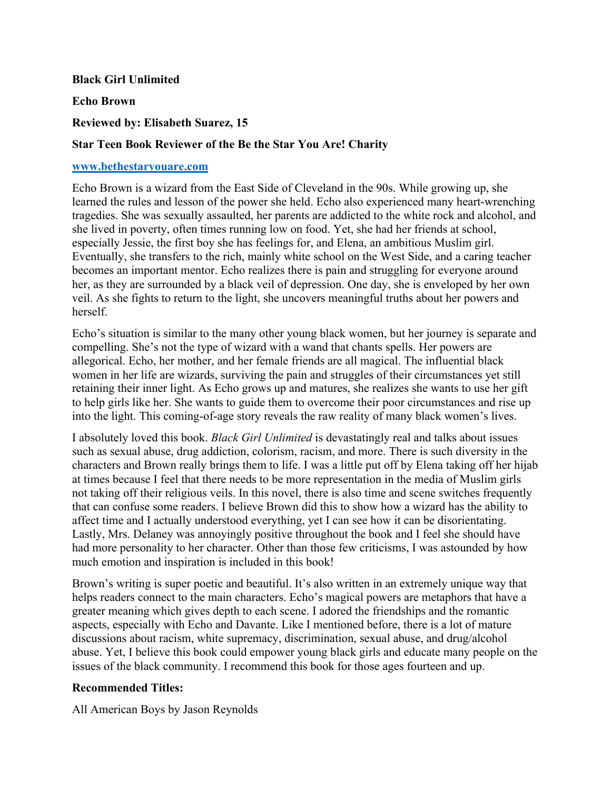## **Black Girl Unlimited**

**Echo Brown**

**Reviewed by: Elisabeth Suarez, 15**

## **Star Teen Book Reviewer of the Be the Star You Are! Charity**

## **www.bethestaryouare.com**

Echo Brown is a wizard from the East Side of Cleveland in the 90s. While growing up, she learned the rules and lesson of the power she held. Echo also experienced many heart-wrenching tragedies. She was sexually assaulted, her parents are addicted to the white rock and alcohol, and she lived in poverty, often times running low on food. Yet, she had her friends at school, especially Jessie, the first boy she has feelings for, and Elena, an ambitious Muslim girl. Eventually, she transfers to the rich, mainly white school on the West Side, and a caring teacher becomes an important mentor. Echo realizes there is pain and struggling for everyone around her, as they are surrounded by a black veil of depression. One day, she is enveloped by her own veil. As she fights to return to the light, she uncovers meaningful truths about her powers and herself.

Echo's situation is similar to the many other young black women, but her journey is separate and compelling. She's not the type of wizard with a wand that chants spells. Her powers are allegorical. Echo, her mother, and her female friends are all magical. The influential black women in her life are wizards, surviving the pain and struggles of their circumstances yet still retaining their inner light. As Echo grows up and matures, she realizes she wants to use her gift to help girls like her. She wants to guide them to overcome their poor circumstances and rise up into the light. This coming-of-age story reveals the raw reality of many black women's lives.

I absolutely loved this book. *Black Girl Unlimited* is devastatingly real and talks about issues such as sexual abuse, drug addiction, colorism, racism, and more. There is such diversity in the characters and Brown really brings them to life. I was a little put off by Elena taking off her hijab at times because I feel that there needs to be more representation in the media of Muslim girls not taking off their religious veils. In this novel, there is also time and scene switches frequently that can confuse some readers. I believe Brown did this to show how a wizard has the ability to affect time and I actually understood everything, yet I can see how it can be disorientating. Lastly, Mrs. Delaney was annoyingly positive throughout the book and I feel she should have had more personality to her character. Other than those few criticisms, I was astounded by how much emotion and inspiration is included in this book!

Brown's writing is super poetic and beautiful. It's also written in an extremely unique way that helps readers connect to the main characters. Echo's magical powers are metaphors that have a greater meaning which gives depth to each scene. I adored the friendships and the romantic aspects, especially with Echo and Davante. Like I mentioned before, there is a lot of mature discussions about racism, white supremacy, discrimination, sexual abuse, and drug/alcohol abuse. Yet, I believe this book could empower young black girls and educate many people on the issues of the black community. I recommend this book for those ages fourteen and up.

## **Recommended Titles:**

All American Boys by Jason Reynolds